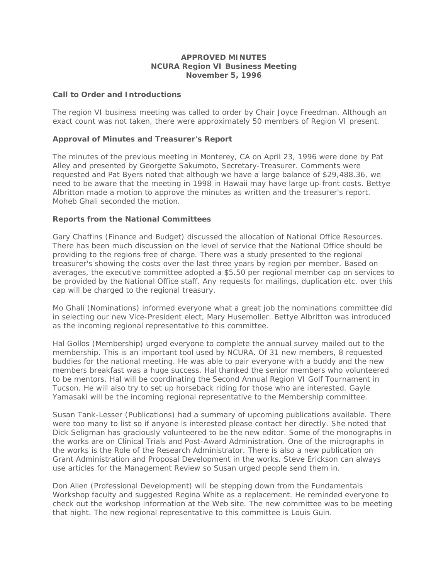## **APPROVED MINUTES NCURA Region VI Business Meeting November 5, 1996**

# **Call to Order and Introductions**

The region VI business meeting was called to order by Chair Joyce Freedman. Although an exact count was not taken, there were approximately 50 members of Region VI present.

## **Approval of Minutes and Treasurer's Report**

The minutes of the previous meeting in Monterey, CA on April 23, 1996 were done by Pat Alley and presented by Georgette Sakumoto, Secretary-Treasurer. Comments were requested and Pat Byers noted that although we have a large balance of \$29,488.36, we need to be aware that the meeting in 1998 in Hawaii may have large up-front costs. Bettye Albritton made a motion to approve the minutes as written and the treasurer's report. Moheb Ghali seconded the motion.

### **Reports from the National Committees**

Gary Chaffins (Finance and Budget) discussed the allocation of National Office Resources. There has been much discussion on the level of service that the National Office should be providing to the regions free of charge. There was a study presented to the regional treasurer's showing the costs over the last three years by region per member. Based on averages, the executive committee adopted a \$5.50 per regional member cap on services to be provided by the National Office staff. Any requests for mailings, duplication etc. over this cap will be charged to the regional treasury.

Mo Ghali (Nominations) informed everyone what a great job the nominations committee did in selecting our new Vice-President elect, Mary Husemoller. Bettye Albritton was introduced as the incoming regional representative to this committee.

Hal Gollos (Membership) urged everyone to complete the annual survey mailed out to the membership. This is an important tool used by NCURA. Of 31 new members, 8 requested buddies for the national meeting. He was able to pair everyone with a buddy and the new members breakfast was a huge success. Hal thanked the senior members who volunteered to be mentors. Hal will be coordinating the Second Annual Region VI Golf Tournament in Tucson. He will also try to set up horseback riding for those who are interested. Gayle Yamasaki will be the incoming regional representative to the Membership committee.

Susan Tank-Lesser (Publications) had a summary of upcoming publications available. There were too many to list so if anyone is interested please contact her directly. She noted that Dick Seligman has graciously volunteered to be the new editor. Some of the monographs in the works are on Clinical Trials and Post-Award Administration. One of the micrographs in the works is the Role of the Research Administrator. There is also a new publication on Grant Administration and Proposal Development in the works. Steve Erickson can always use articles for the Management Review so Susan urged people send them in.

Don Allen (Professional Development) will be stepping down from the Fundamentals Workshop faculty and suggested Regina White as a replacement. He reminded everyone to check out the workshop information at the Web site. The new committee was to be meeting that night. The new regional representative to this committee is Louis Guin.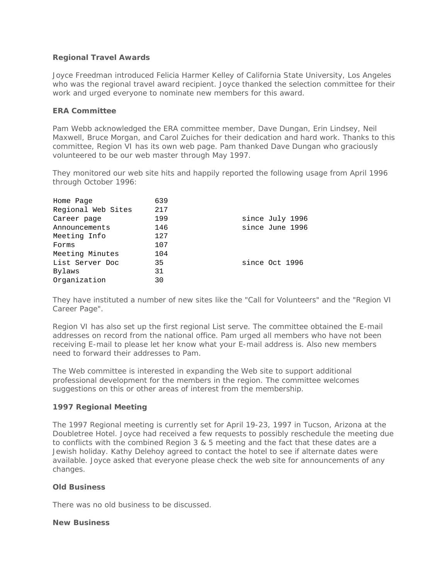## **Regional Travel Awards**

Joyce Freedman introduced Felicia Harmer Kelley of California State University, Los Angeles who was the regional travel award recipient. Joyce thanked the selection committee for their work and urged everyone to nominate new members for this award.

### **ERA Committee**

Pam Webb acknowledged the ERA committee member, Dave Dungan, Erin Lindsey, Neil Maxwell, Bruce Morgan, and Carol Zuiches for their dedication and hard work. Thanks to this committee, Region VI has its own web page. Pam thanked Dave Dungan who graciously volunteered to be our web master through May 1997.

They monitored our web site hits and happily reported the following usage from April 1996 through October 1996:

| Home Page          | 639 |                 |
|--------------------|-----|-----------------|
| Regional Web Sites | 217 |                 |
| Career page        | 199 | since July 1996 |
| Announcements      | 146 | since June 1996 |
| Meeting Info       | 127 |                 |
| Forms              | 107 |                 |
| Meeting Minutes    | 104 |                 |
| List Server Doc    | 35  | since Oct 1996  |
| Bylaws             | 31  |                 |
| Organization       | 30  |                 |

They have instituted a number of new sites like the "Call for Volunteers" and the "Region VI Career Page".

Region VI has also set up the first regional List serve. The committee obtained the E-mail addresses on record from the national office. Pam urged all members who have not been receiving E-mail to please let her know what your E-mail address is. Also new members need to forward their addresses to Pam.

The Web committee is interested in expanding the Web site to support additional professional development for the members in the region. The committee welcomes suggestions on this or other areas of interest from the membership.

# **1997 Regional Meeting**

The 1997 Regional meeting is currently set for April 19-23, 1997 in Tucson, Arizona at the Doubletree Hotel. Joyce had received a few requests to possibly reschedule the meeting due to conflicts with the combined Region 3 & 5 meeting and the fact that these dates are a Jewish holiday. Kathy Delehoy agreed to contact the hotel to see if alternate dates were available. Joyce asked that everyone please check the web site for announcements of any changes.

#### **Old Business**

There was no old business to be discussed.

#### **New Business**